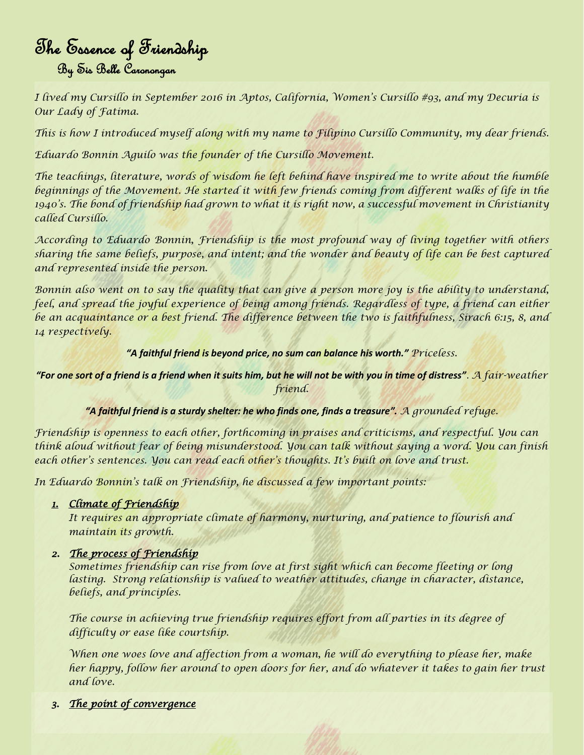# The Essence of Friendship By Sis Belle Caronongan

*I lived my Cursillo in September 2016 in Aptos, California, Women's Cursillo #93, and my Decuria is Our Lady of Fatima.* 

*This is how I introduced myself along with my name to Filipino Cursillo Community, my dear friends.* 

*Eduardo Bonnin Aguilo was the founder of the Cursillo Movement.* 

*The teachings, literature, words of wisdom he left behind have inspired me to write about the humble*  beginnings of the Movement. He started it with few friends coming from different walks of life in the *1940's. The bond of friendship had grown to what it is right now, a successful movement in Christianity called Cursillo.* 

*According to Eduardo Bonnin, Friendship is the most profound way of living together with others sharing the same beliefs, purpose, and intent; and the wonder and beauty of life can be best captured and represented inside the person.* 

*Bonnin also went on to say the quality that can give a person more joy is the ability to understand, feel, and spread the joyful experience of being among friends. Regardless of type, a friend can either be an acquaintance or a best friend. The difference between the two is faithfulness, Sirach 6:15, 8, and 14 respectively.* 

*"A faithful friend is beyond price, no sum can balance his worth." Priceless.*

*"For one sort of a friend is a friend when it suits him, but he will not be with you in time of distress"*. *A fair-weather friend.*

*"A faithful friend is a sturdy shelter: he who finds one, finds a treasure". A grounded refuge.*

*Friendship is openness to each other, forthcoming in praises and criticisms, and respectful. You can think aloud without fear of being misunderstood. You can talk without saying a word. You can finish each other's sentences. You can read each other's thoughts. It's built on love and trust.* 

*In Eduardo Bonnin's talk on Friendship, he discussed a few important points:* 

*1. Climate of Friendship* 

*It requires an appropriate climate of harmony, nurturing, and patience to flourish and maintain its growth.* 

## *2. The process of Friendship*

*Sometimes friendship can rise from love at first sight which can become fleeting or long lasting. Strong relationship is valued to weather attitudes, change in character, distance, beliefs, and principles.* 

*The course in achieving true friendship requires effort from all parties in its degree of difficulty or ease like courtship.* 

*When one woes love and affection from a woman, he will do everything to please her, make her happy, follow her around to open doors for her, and do whatever it takes to gain her trust and love.* 

*3. The point of convergence*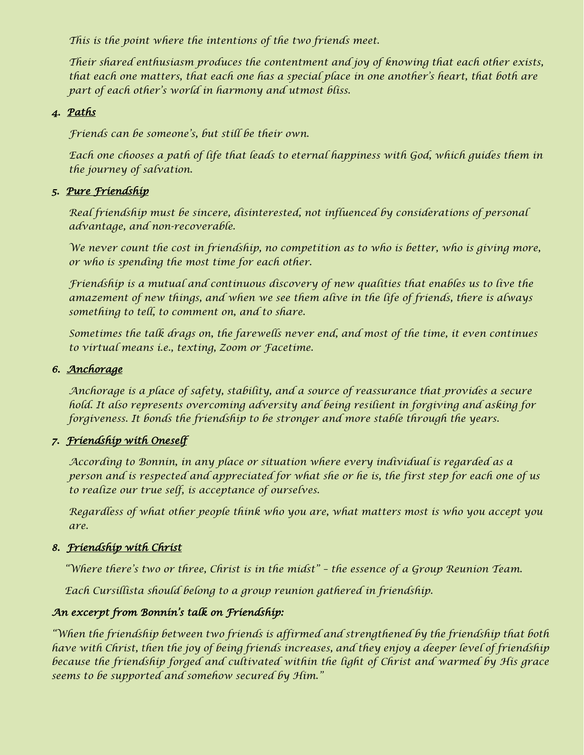*This is the point where the intentions of the two friends meet.* 

*Their shared enthusiasm produces the contentment and joy of knowing that each other exists, that each one matters, that each one has a special place in one another's heart, that both are part of each other's world in harmony and utmost bliss.* 

## *4. Paths*

*Friends can be someone's, but still be their own.* 

Each one chooses a path of life that leads to eternal happiness with God, which guides them in *the journey of salvation.* 

## *5. Pure Friendship*

*Real friendship must be sincere, disinterested, not influenced by considerations of personal advantage, and non-recoverable.* 

*We never count the cost in friendship, no competition as to who is better, who is giving more, or who is spending the most time for each other.* 

*Friendship is a mutual and continuous discovery of new qualities that enables us to live the amazement of new things, and when we see them alive in the life of friends, there is always something to tell, to comment on, and to share.* 

*Sometimes the talk drags on, the farewells never end, and most of the time, it even continues to virtual means i.e., texting, Zoom or Facetime.* 

## *6. Anchorage*

*Anchorage is a place of safety, stability, and a source of reassurance that provides a secure hold. It also represents overcoming adversity and being resilient in forgiving and asking for forgiveness. It bonds the friendship to be stronger and more stable through the years.* 

## *7. Friendship with Oneself*

*According to Bonnin, in any place or situation where every individual is regarded as a person and is respected and appreciated for what she or he is, the first step for each one of us to realize our true self, is acceptance of ourselves.* 

*Regardless of what other people think who you are, what matters most is who you accept you are.* 

## *8. Friendship with Christ*

*"Where there's two or three, Christ is in the midst" – the essence of a Group Reunion Team.* 

*Each Cursillista should belong to a group reunion gathered in friendship.* 

## *An excerpt from Bonnin's talk on Friendship:*

*"When the friendship between two friends is affirmed and strengthened by the friendship that both have with Christ, then the joy of being friends increases, and they enjoy a deeper level of friendship because the friendship forged and cultivated within the light of Christ and warmed by His grace seems to be supported and somehow secured by Him."*